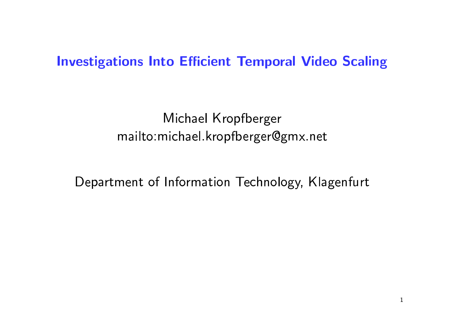#### **Investigations Into Efficient Temporal Video Scaling**

Michael Kropfberger mailto: michael.kropfberger@gmx.net

Department of Information Technology, Klagenfurt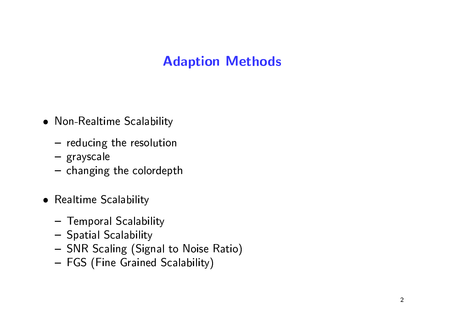#### **Adaption Methods**

- Non-Realtime Scalability
	- $-$  reducing the resolution
	- grayscale
	- changing the colordepth
- Realtime Scalability
	- Temporal Scalability
	- Spatial Scalability
	- SNR Scaling (Signal to Noise Ratio)
	- FGS (Fine Grained Scalability)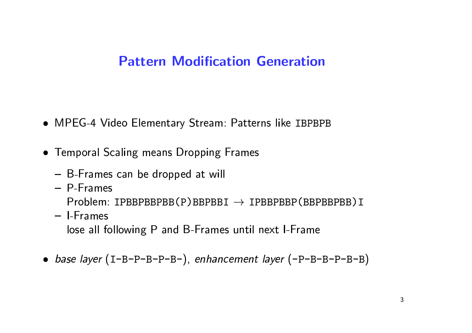#### **Pattern Modification Generation**

- MPEG-4 Video Elementary Stream: Patterns like IBPBPB
- Temporal Scaling means Dropping Frames
	- B-Frames can be dropped at will
	- $-$  P-Frames

 $Problem: IPBBPBBPBB(P)BBPBBI \rightarrow IPBBPBBP(BBPBBP)I$ 

- I-Frames lose all following P and B-Frames until next I-Frame
- base layer (I-B-P-B-P-B-), enhancement layer (-P-B-B-P-B-B)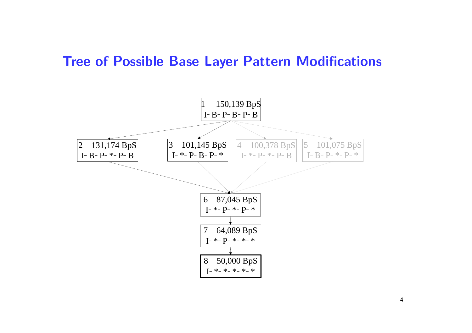## -

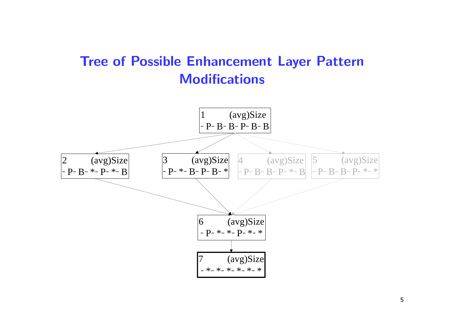# **Tree of Possible Enhancement Layer Patter**

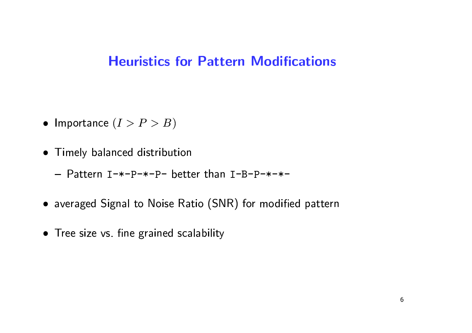#### **Heuristics for Pattern Modifications**

- Importance  $(I > P > B)$
- Timely balanced distribution
	- Pattern I-\*-P-\*-P- better than I-B-P-\*-\*-
- averaged Signal to Noise Ratio (SNR) for modified pattern
- Tree size vs. fine grained scalability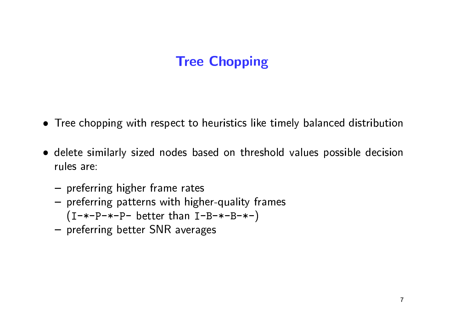#### **Tree Chopping**

- Tree chopping with respect to heuristics like timely balanced distribution
- · delete similarly sized nodes based on threshold values possible decision rules are:
	- preferring higher frame rates
	- preferring patterns with higher-quality frames  $(I-*-P-*-P- better than I-B-*-B-*-)$
	- preferring better SNR averages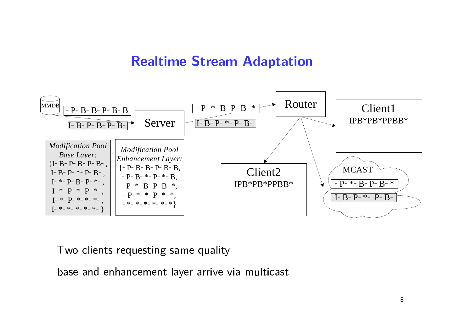### **Realtime Stream Adaptation**

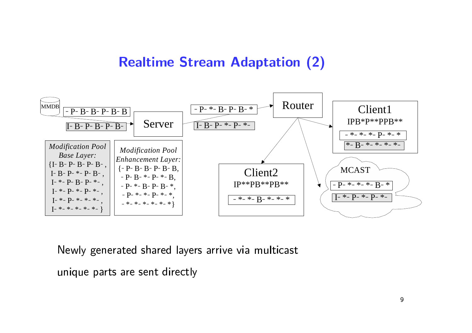#### -



and the second company of the second company of the second company of the second company of the second company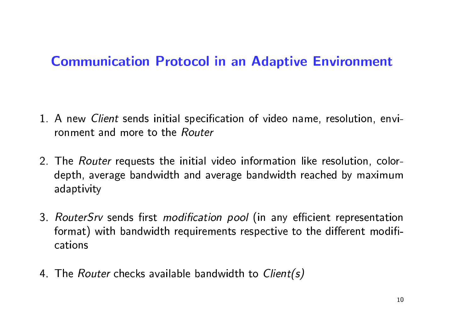#### **Communication Protocol in an Adaptive Environment**

- 1. A new *Client* sends initial specification of video name, resolution, environment and more to the Router
- 2. The *Router* requests the initial video information like resolution, colordepth, average bandwidth and average bandwidth reached by maximum adaptivity
- 3. RouterSrv sends first modification pool (in any efficient representation format) with bandwidth requirements respective to the different modifications
- 4. The *Router* checks available bandwidth to *Client(s)*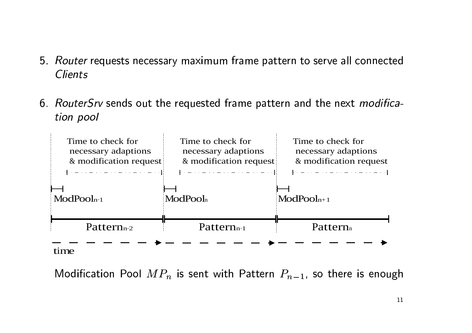- $\bullet$  . The contract contract  $\int$  is the contract of the contract of the contract of the contract of the contract of the contract of the contract of the contract of the contract of the contract of the contract of the cont  $\overline{a}$ put<br>ien
- 0. *Houter Strass* but the requested manne pattern and the next *mounta* Client<mark>s</mark><br>Router:<br>tion po

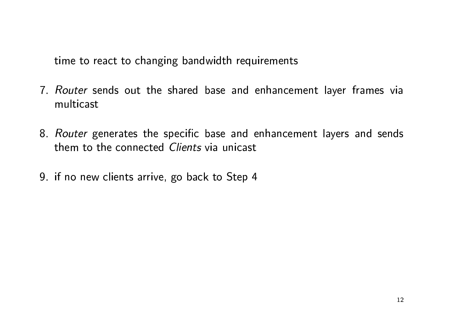time to react to changing bandwidth requirements

- 7. Router sends out the shared base and enhancement layer frames via multicast
- 8. Router generates the specific base and enhancement layers and sends them to the connected Clients via unicast
- 9. if no new clients arrive, go back to Step 4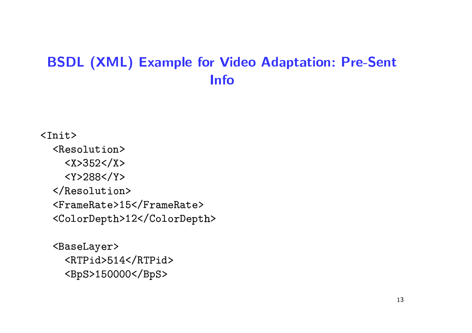#### **BSDL (XML) Example for Video Adaptation: Pre-Sent Info**

#### $\langle \text{Init} \rangle$

<Resolution>  $<$ X>352</X>  $<$ Y>288</Y> </Resolution> <FrameRate>15</FrameRate> <ColorDepth>12</ColorDepth>

```
<BaseLayer>
  <RTPid>514</RTPid>
  <BpS>150000</BpS>
```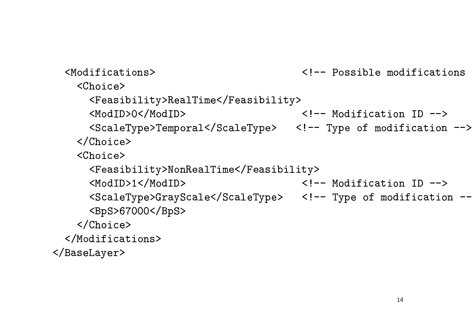<!-- Possible modifications <Modifications> <Choice> <Feasibility>RealTime</Feasibility> <ModID>0</ModID>  $\langle$ !-- Modification ID --> <ScaleType>Temporal</ScaleType> <!-- Type of modification --> </Choice>  $<$ Choice $>$ <Feasibility>NonRealTime</Feasibility> <ModID>1</ModID>  $\langle$ !-- Modification ID --> <ScaleType>GrayScale</ScaleType> <!-- Type of modification --<BpS>67000</BpS>  $\langle$ /Choice> </Modifications> </BaseLayer>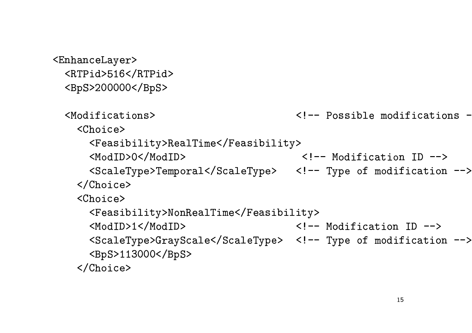<EnhanceLayer> <RTPid>516</RTPid> <BpS>200000</BpS>

<Modifications> <!-- Possible modifications -<Choice> <Feasibility>RealTime</Feasibility> <ModID>0</ModID> <!-- Modification ID --> <ScaleType>Temporal</ScaleType> <!-- Type of modification --> </Choice> <Choice> <Feasibility>NonRealTime</Feasibility> <ModID>1</ModID>  $\langle$ !-- Modification ID --> <ScaleType>GrayScale</ScaleType> <!-- Type of modification --> <BpS>113000</BpS> </Choice>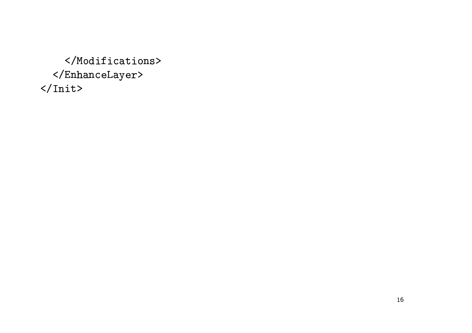$\langle$ /Modifications>  $\langle$ /EnhanceLayer>  $\frac{2}{\pi}$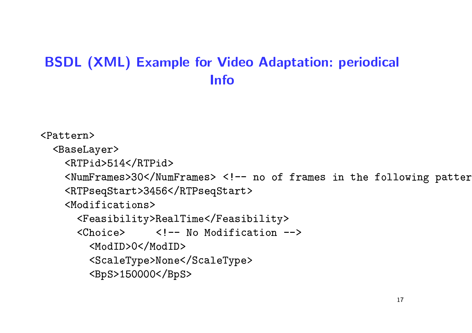#### **BSDL (XML) Example for Video Adaptation: periodical Info**

```
<Pattern>
```

```
<BaseLayer>
```

```
<RTPid>514</RTPid>
```

```
<NumFrames>30</NumFrames> <!-- no of frames in the following patter
<RTPseqStart>3456</RTPseqStart>
```

```
<Modifications>
```

```
<Feasibility>RealTime</Feasibility>
```

```
<Choice> <!-- No Modification -->
```

```
<ModID>0</ModID>
```

```
<ScaleType>None</ScaleType>
```
<BpS>150000</BpS>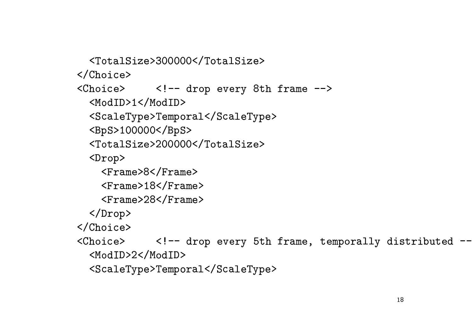<TotalSize>300000</TotalSize>  $\langle$ /Choice> <Choice> <!-- drop every 8th frame --> <ModID>1</ModID> <ScaleType>Temporal</ScaleType> <BpS>100000</BpS> <TotalSize>200000</TotalSize>  $\langle$ Drop $\rangle$ <Frame>8</Frame> <Frame>18</Frame> <Frame>28</Frame>  $\langle$ Drop $\rangle$ </Choice> <Choice> <!-- drop every 5th frame, temporally distributed --<ModID>2</ModID>

<ScaleType>Temporal</ScaleType>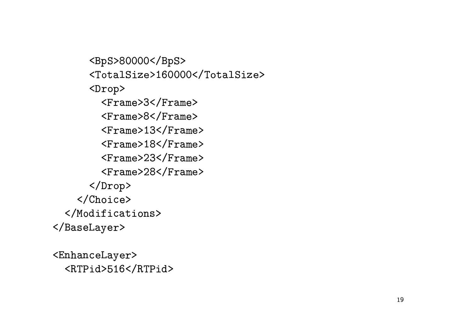<BpS>80000</BpS> <TotalSize>160000</TotalSize> <Drop> <Frame>3</Frame> <Frame>8</Frame> <Frame>13</Frame> <Frame>18</Frame> <Frame>23</Frame> <Frame>28</Frame> </Drop> </Choice> </Modifications> </BaseLayer>

<EnhanceLayer> <RTPid>516</RTPid>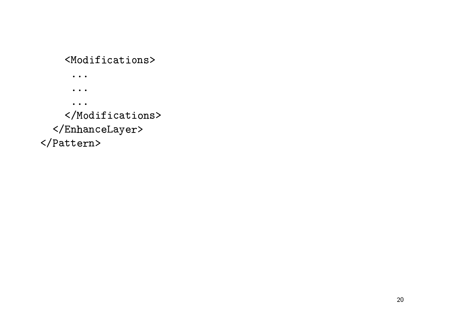#### <Modifications>

 $\bullet\quad\bullet\quad\bullet$ 

 $\bullet$   $\bullet$   $\bullet$ 

 $\bullet\quad\bullet\quad\bullet$ 

#### </Modifications>

 $\langle$ /EnhanceLayer>

</Pattern>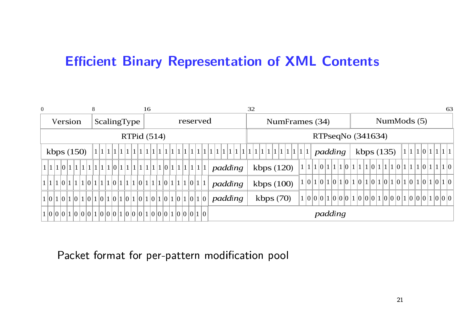# **Efficient Binary Representation of XML Conten**<br>Efficient Binary Representation of XML Conten

| $\boldsymbol{0}$ | 8             | 16                                                    |                   | 32                           | 63                                                         |  |  |  |
|------------------|---------------|-------------------------------------------------------|-------------------|------------------------------|------------------------------------------------------------|--|--|--|
| Version          | ScalingType   | reserved                                              |                   | NumFrames (34)               | NumMods $(5)$                                              |  |  |  |
|                  | RTPid $(514)$ |                                                       |                   | RTPseqNo (341634)            |                                                            |  |  |  |
| kbps $(150)$     |               | 1 1 1 1 1 1 1 1 1 1                                   | 1 1 1 1 1 1 1 1 1 | padding<br>1 1 1 1 1 1 1 1 1 | 1 1 1 0 1 1 1 1 1<br>kbps $(135)$                          |  |  |  |
|                  |               |                                                       | padding           | kbps $(120)$                 | 111011011101110111101111011110111101                       |  |  |  |
|                  |               | $1 1 1 0 1 1 1 0 1 1 1 0 1 1 1 0 1 1 1 0 1 1 1 0 1 1$ | padding           | kbps $(100)$                 |                                                            |  |  |  |
|                  |               |                                                       | padding           | kbps $(70)$                  | $1 0 0 0 1 0 0 1 0 0 1 0 0 1 0 0 0 1 0 0 1 0 0 0 1 0 0 0 $ |  |  |  |
|                  |               |                                                       |                   | padding                      |                                                            |  |  |  |
|                  |               |                                                       |                   |                              |                                                            |  |  |  |
|                  |               |                                                       |                   |                              |                                                            |  |  |  |
|                  |               | Packet format for per-pattern modification pool       |                   |                              |                                                            |  |  |  |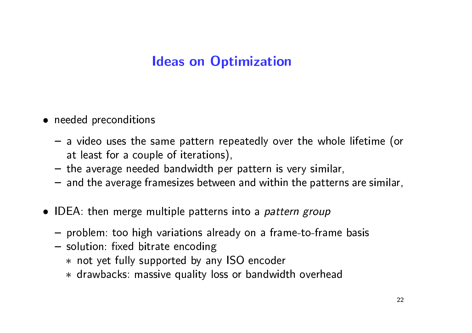#### **Ideas on Optimization**

- needed preconditions
	- a video uses the same pattern repeatedly over the whole lifetime (or at least for a couple of iterations),
	- the average needed bandwidth per pattern is very similar,
	- and the average framesizes between and within the patterns are similar,
- IDEA: then merge multiple patterns into a *pattern group* 
	- problem: too high variations already on a frame-to-frame basis
	- solution: fixed bitrate encoding
		- \* not yet fully supported by any ISO encoder
		- \* drawbacks: massive quality loss or bandwidth overhead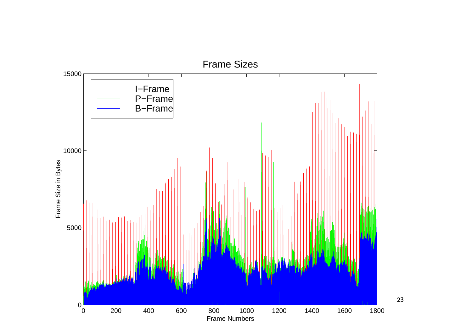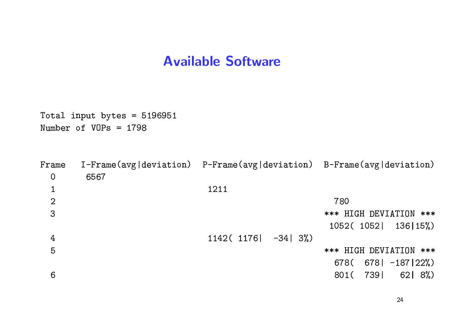#### **Available Software**

Total input bytes = 5196951 Number of  $VOPs = 1798$ 

| Frame          |      | $I-Frame(\text{avg}   \text{deviation})$ P-Frame(avg deviation) B-Frame(avg deviation) |                               |
|----------------|------|----------------------------------------------------------------------------------------|-------------------------------|
| $\overline{0}$ | 6567 |                                                                                        |                               |
|                |      | 1211                                                                                   |                               |
| $\overline{2}$ |      |                                                                                        | 780                           |
| 3              |      |                                                                                        | *** HIGH DEVIATION ***        |
|                |      |                                                                                        | 1052(1052) 136   15%)         |
| 4              |      | 1142(1176)<br>$-34$ 3%)                                                                |                               |
| 5              |      |                                                                                        | *** HIGH DEVIATION ***        |
|                |      |                                                                                        | $678$   $-187$   22%)<br>678( |
| 6              |      |                                                                                        | 7391<br>$62$   $8\%)$<br>801( |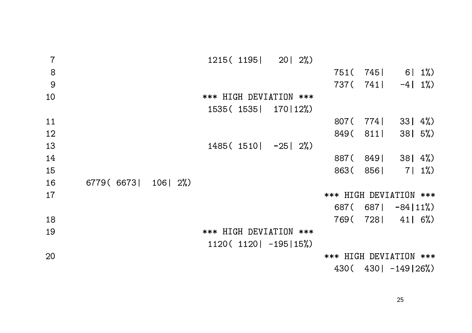| $\overline{7}$ |            |             | $1215(1195)$ 20 $2\%)$ |                        |                           |                |         |
|----------------|------------|-------------|------------------------|------------------------|---------------------------|----------------|---------|
| $\,8\,$        |            |             |                        |                        | 751 (745                  | $6 1\%$        |         |
| 9              |            |             |                        |                        | 737(741)                  | $-4$   $1\%$ ) |         |
| 10             |            |             | *** HIGH DEVIATION *** |                        |                           |                |         |
|                |            |             | 1535(1535  170 12%)    |                        |                           |                |         |
| 11             |            |             |                        |                        | 807 (774)                 | $33   4\%$     |         |
| 12             |            |             |                        |                        | 849 (811                  | $38$   5%)     |         |
| 13             |            |             | $1485(1510) -25$   2%) |                        |                           |                |         |
| 14             |            |             |                        |                        | 887(849)                  | $381 \; 4\%)$  |         |
| 15             |            |             |                        |                        | 863(856)                  |                | $7 1\%$ |
| 16             | 6779(6673) | $106$   2%) |                        |                        |                           |                |         |
| 17             |            |             |                        | *** HIGH DEVIATION *** |                           |                |         |
|                |            |             |                        |                        | 687( 687  $-84$  11%)     |                |         |
| 18             |            |             |                        |                        | 769( 728 41 6%)           |                |         |
| 19             |            |             | *** HIGH DEVIATION *** |                        |                           |                |         |
|                |            |             | $1120(1120 -195 15%)$  |                        |                           |                |         |
| 20             |            |             |                        | *** HIGH DEVIATION *** |                           |                |         |
|                |            |             |                        |                        | $430($ $430 $ $-149 26%)$ |                |         |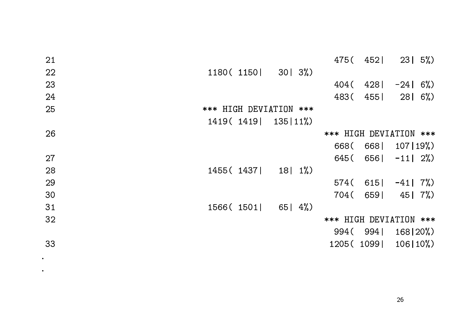| 21 |                         |                   |                        | 475( 452)  | $23 \mid 5\%)$ |  |
|----|-------------------------|-------------------|------------------------|------------|----------------|--|
| 22 | $1180(1150)$ 30 3%)     |                   |                        |            |                |  |
| 23 |                         |                   | 404 (                  | 428        | $-24$ 6%)      |  |
| 24 |                         |                   | 483 (                  | 455        | $28$   6%)     |  |
| 25 | *** HIGH DEVIATION ***  |                   |                        |            |                |  |
|    | 1419 (1419   135   11%) |                   |                        |            |                |  |
| 26 |                         |                   | *** HIGH DEVIATION *** |            |                |  |
|    |                         |                   |                        | 668(668)   | 107 19%        |  |
| 27 |                         |                   |                        | 645(656)   | $-11$   $2\%)$ |  |
| 28 | 1455(1437)              | $181 \frac{1}{6}$ |                        |            |                |  |
| 29 |                         |                   |                        | 574(615)   | $-41$ 7%)      |  |
| 30 |                         |                   | 704 (                  | 6591       | 45   7%)       |  |
| 31 | 1566(1501)              | 65   $4\%$        |                        |            |                |  |
| 32 |                         |                   | *** HIGH DEVIATION *** |            |                |  |
|    |                         |                   |                        | 994(994)   | 168 20%        |  |
| 33 |                         |                   |                        | 1205(1099) | $106 10\%$     |  |

 $\bullet$ 

 $\bullet$  .

26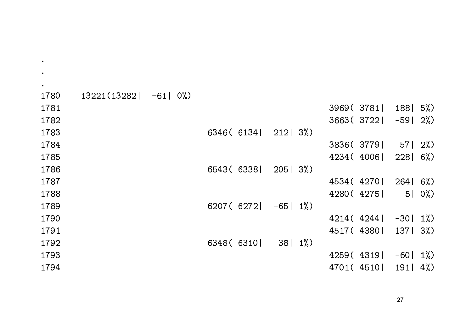| 1780 | $13221(13282 - 61) 0\%)$ |  |            |                 |  |                      |                 |              |
|------|--------------------------|--|------------|-----------------|--|----------------------|-----------------|--------------|
| 1781 |                          |  |            |                 |  | 3969(3781)           | $188$   5%)     |              |
| 1782 |                          |  |            |                 |  | $3663(3722) -59$ 2%) |                 |              |
| 1783 |                          |  | 6346(6134) | $212$ 3%)       |  |                      |                 |              |
| 1784 |                          |  |            |                 |  | 3836(3779)           | $57$   2%)      |              |
| 1785 |                          |  |            |                 |  | 4234 (4006           | $228$   6%)     |              |
| 1786 |                          |  | 6543(6338) | $205$   $3\%$ ) |  |                      |                 |              |
| 1787 |                          |  |            |                 |  | 4534(4270)           | $264$ 6%)       |              |
| 1788 |                          |  |            |                 |  | 4280(4275)           |                 | $5 \mid 0\%$ |
| 1789 |                          |  | 6207(6272) | $-65$   $1\%$ ) |  |                      |                 |              |
| 1790 |                          |  |            |                 |  | 4214(4244)           | $-30$   1%)     |              |
| 1791 |                          |  |            |                 |  | 4517(4380)           | $137$ $3\%$     |              |
| 1792 |                          |  | 6348 (6310 | $38$   1%)      |  |                      |                 |              |
| 1793 |                          |  |            |                 |  | 4259(4319)           | $-60$   $1\%$ ) |              |
| 1794 |                          |  |            |                 |  | 4701(4510)           | 191   $4\%)$    |              |

 $\bullet$ 

 $\bullet$ 

 $\bullet$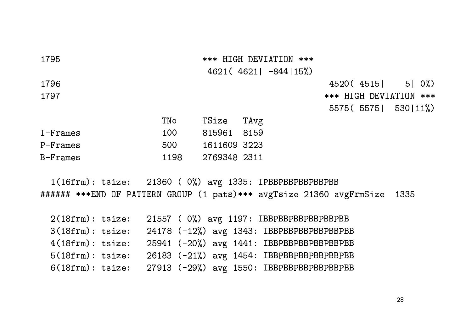| 1795            |      |              |      | *** HIGH DEVIATION ***<br>$4621(4621 -844 15%)$ |                        |            |                         |              |
|-----------------|------|--------------|------|-------------------------------------------------|------------------------|------------|-------------------------|--------------|
|                 |      |              |      |                                                 |                        |            |                         |              |
| 1796            |      |              |      |                                                 |                        | 4520(4515) |                         | $5 \mid 0\%$ |
| 1797            |      |              |      |                                                 | *** HIGH DEVIATION *** |            |                         |              |
|                 |      |              |      |                                                 |                        |            | $5575(5575)$ 530   11%) |              |
|                 | TNo  | TSize        | TAvg |                                                 |                        |            |                         |              |
| $I$ - $Fr$ ames | 100  | 815961       | 8159 |                                                 |                        |            |                         |              |
| P-Frames        | 500  | 1611609 3223 |      |                                                 |                        |            |                         |              |
| B-Frames        | 1198 | 2769348 2311 |      |                                                 |                        |            |                         |              |

 $1(16$ frm): tsize: 21360 ( $0$ %) avg 1335: IPBBPBBPBBPBBPBBPBB ###### \*\*\*END OF PATTERN GROUP (1 pats)\*\*\* avgTsize 21360 avgFrmSize 1335

| $2(18$ frm $):$ tsize: |  |  | 21557 (0%) avg 1197: IBBPBBPBBPBBPBBPBB      |
|------------------------|--|--|----------------------------------------------|
| $3(18$ frm $):$ tsize: |  |  | 24178 (-12%) avg 1343: IBBPBBPBBPBBPBBPBBPBB |
| $4(18$ frm $):$ tsize: |  |  | 25941 (-20%) avg 1441: IBBPBBPBBPBBPBBPBBPBB |
| $5(18$ frm $):$ tsize: |  |  | 26183 (-21%) avg 1454: IBBPBBPBBPBBPBBPBBPBB |
| $6(18$ frm $):$ tsize: |  |  | 27913 (-29%) avg 1550: IBBPBBPBBPBBPBBPBBPBB |